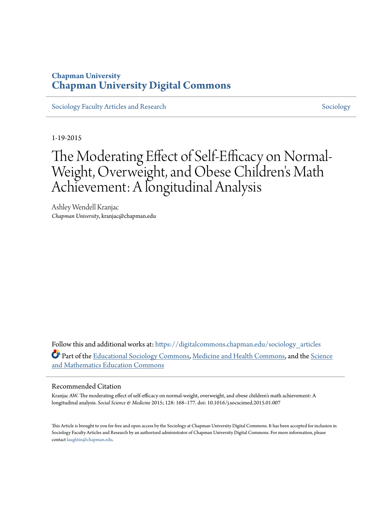### **Chapman University [Chapman University Digital Commons](https://digitalcommons.chapman.edu?utm_source=digitalcommons.chapman.edu%2Fsociology_articles%2F43&utm_medium=PDF&utm_campaign=PDFCoverPages)**

[Sociology Faculty Articles and Research](https://digitalcommons.chapman.edu/sociology_articles?utm_source=digitalcommons.chapman.edu%2Fsociology_articles%2F43&utm_medium=PDF&utm_campaign=PDFCoverPages) [Sociology](https://digitalcommons.chapman.edu/sociology?utm_source=digitalcommons.chapman.edu%2Fsociology_articles%2F43&utm_medium=PDF&utm_campaign=PDFCoverPages) Sociology

1-19-2015

# The Moderating Effect of Self-Efficacy on Normal-Weight, Overweight, and Obese Children 's Math Achievement: A longitudinal Analysis

Ashley Wendell Kranjac *Chapman University*, kranjac@chapman.edu

Follow this and additional works at: [https://digitalcommons.chapman.edu/sociology\\_articles](https://digitalcommons.chapman.edu/sociology_articles?utm_source=digitalcommons.chapman.edu%2Fsociology_articles%2F43&utm_medium=PDF&utm_campaign=PDFCoverPages) Part of the [Educational Sociology Commons,](http://network.bepress.com/hgg/discipline/1071?utm_source=digitalcommons.chapman.edu%2Fsociology_articles%2F43&utm_medium=PDF&utm_campaign=PDFCoverPages) [Medicine and Health Commons](http://network.bepress.com/hgg/discipline/422?utm_source=digitalcommons.chapman.edu%2Fsociology_articles%2F43&utm_medium=PDF&utm_campaign=PDFCoverPages), and the [Science](http://network.bepress.com/hgg/discipline/800?utm_source=digitalcommons.chapman.edu%2Fsociology_articles%2F43&utm_medium=PDF&utm_campaign=PDFCoverPages) [and Mathematics Education Commons](http://network.bepress.com/hgg/discipline/800?utm_source=digitalcommons.chapman.edu%2Fsociology_articles%2F43&utm_medium=PDF&utm_campaign=PDFCoverPages)

#### Recommended Citation

Kranjac AW. The moderating effect of self-efficacy on normal-weight, overweight, and obese children's math achievement: A longitudinal analysis. *Social Science & Medicine* 2015; 128: 168–177. doi: 10.1016/j.socscimed.2015.01.007

This Article is brought to you for free and open access by the Sociology at Chapman University Digital Commons. It has been accepted for inclusion in Sociology Faculty Articles and Research by an authorized administrator of Chapman University Digital Commons. For more information, please contact [laughtin@chapman.edu](mailto:laughtin@chapman.edu).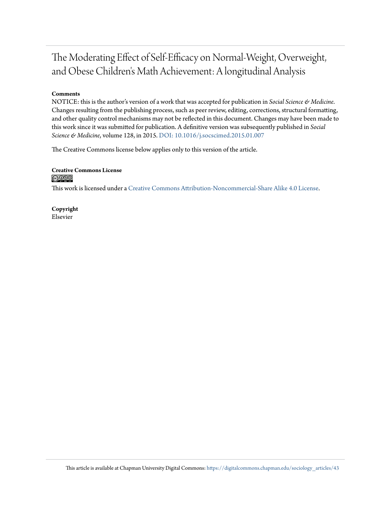## The Moderating Effect of Self-Efficacy on Normal-Weight, Overweight, and Obese Children's Math Achievement: A longitudinal Analysis

#### **Comments**

NOTICE: this is the author's version of a work that was accepted for publication in *Social Science & Medicine*. Changes resulting from the publishing process, such as peer review, editing, corrections, structural formatting, and other quality control mechanisms may not be reflected in this document. Changes may have been made to this work since it was submitted for publication. A definitive version was subsequently published in *Social Science & Medicine*, volume 128, in 2015. [DOI: 10.1016/j.socscimed.2015.01.007](https://doi.org/10.1016/j.socscimed.2015.01.007)

The Creative Commons license below applies only to this version of the article.

**Creative Commons License**  $\bigcirc$   $\bigcirc$ 

This work is licensed under a [Creative Commons Attribution-Noncommercial-Share Alike 4.0 License.](https://creativecommons.org/licenses/by-nc-sa/4.0/)

**Copyright** Elsevier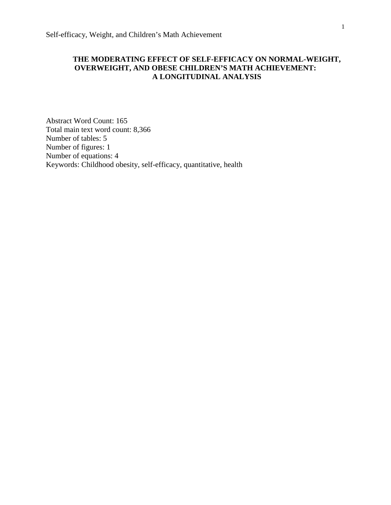#### **THE MODERATING EFFECT OF SELF-EFFICACY ON NORMAL-WEIGHT, OVERWEIGHT, AND OBESE CHILDREN'S MATH ACHIEVEMENT: A LONGITUDINAL ANALYSIS**

Abstract Word Count: 165 Total main text word count: 8,366 Number of tables: 5 Number of figures: 1 Number of equations: 4 Keywords: Childhood obesity, self-efficacy, quantitative, health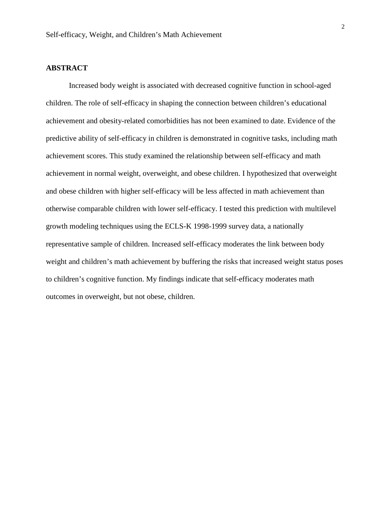#### **ABSTRACT**

Increased body weight is associated with decreased cognitive function in school-aged children. The role of self-efficacy in shaping the connection between children's educational achievement and obesity-related comorbidities has not been examined to date. Evidence of the predictive ability of self-efficacy in children is demonstrated in cognitive tasks, including math achievement scores. This study examined the relationship between self-efficacy and math achievement in normal weight, overweight, and obese children. I hypothesized that overweight and obese children with higher self-efficacy will be less affected in math achievement than otherwise comparable children with lower self-efficacy. I tested this prediction with multilevel growth modeling techniques using the ECLS-K 1998-1999 survey data, a nationally representative sample of children. Increased self-efficacy moderates the link between body weight and children's math achievement by buffering the risks that increased weight status poses to children's cognitive function. My findings indicate that self-efficacy moderates math outcomes in overweight, but not obese, children.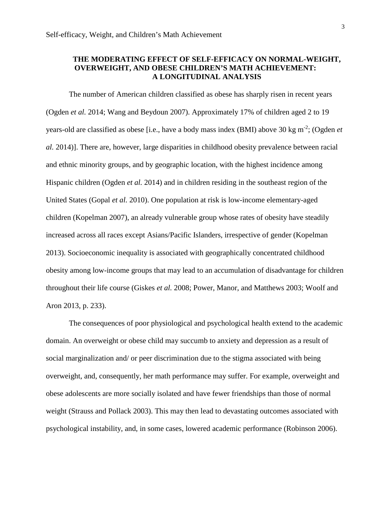#### **THE MODERATING EFFECT OF SELF-EFFICACY ON NORMAL-WEIGHT, OVERWEIGHT, AND OBESE CHILDREN'S MATH ACHIEVEMENT: A LONGITUDINAL ANALYSIS**

The number of American children classified as obese has sharply risen in recent years (Ogden *et al.* 2014; Wang and Beydoun 2007). Approximately 17% of children aged 2 to 19 years-old are classified as obese [i.e., have a body mass index (BMI) above 30 kg m-2 ; (Ogden *et al.* 2014)]. There are, however, large disparities in childhood obesity prevalence between racial and ethnic minority groups, and by geographic location, with the highest incidence among Hispanic children (Ogden *et al.* 2014) and in children residing in the southeast region of the United States (Gopal *et al.* 2010). One population at risk is low-income elementary-aged children (Kopelman 2007), an already vulnerable group whose rates of obesity have steadily increased across all races except Asians/Pacific Islanders, irrespective of gender (Kopelman 2013). Socioeconomic inequality is associated with geographically concentrated childhood obesity among low-income groups that may lead to an accumulation of disadvantage for children throughout their life course (Giskes *et al.* 2008; Power, Manor, and Matthews 2003; Woolf and Aron 2013, p. 233).

The consequences of poor physiological and psychological health extend to the academic domain. An overweight or obese child may succumb to anxiety and depression as a result of social marginalization and/ or peer discrimination due to the stigma associated with being overweight, and, consequently, her math performance may suffer. For example, overweight and obese adolescents are more socially isolated and have fewer friendships than those of normal weight (Strauss and Pollack 2003). This may then lead to devastating outcomes associated with psychological instability, and, in some cases, lowered academic performance (Robinson 2006).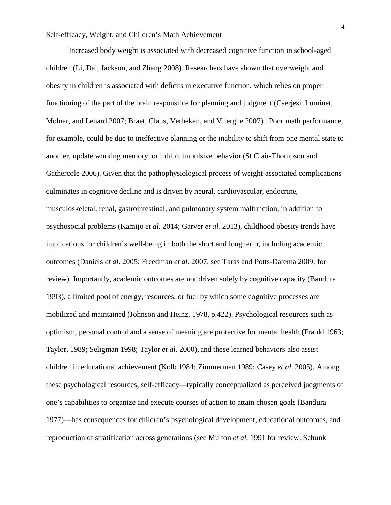Increased body weight is associated with decreased cognitive function in school-aged children (Li, Dai, Jackson, and Zhang 2008). Researchers have shown that overweight and obesity in children is associated with deficits in executive function, which relies on proper functioning of the part of the brain responsible for planning and judgment (Cserjesi. Luminet, Molnar, and Lenard 2007; Braet, Claus, Verbeken, and Vlierghe 2007). Poor math performance, for example, could be due to ineffective planning or the inability to shift from one mental state to another, update working memory, or inhibit impulsive behavior (St Clair-Thompson and Gathercole 2006). Given that the pathophysiological process of weight-associated complications culminates in cognitive decline and is driven by neural, cardiovascular, endocrine, musculoskeletal, renal, gastrointestinal, and pulmonary system malfunction, in addition to psychosocial problems (Kamijo *et al.* 2014; Garver *et al.* 2013), childhood obesity trends have implications for children's well-being in both the short and long term, including academic outcomes (Daniels *et al*. 2005; Freedman *et al*. 2007; see Taras and Potts-Datema 2009, for review). Importantly, academic outcomes are not driven solely by cognitive capacity (Bandura 1993), a limited pool of energy, resources, or fuel by which some cognitive processes are mobilized and maintained (Johnson and Heinz, 1978, p.422). Psychological resources such as optimism, personal control and a sense of meaning are protective for mental health (Frankl 1963; Taylor, 1989; Seligman 1998; Taylor *et al.* 2000), and these learned behaviors also assist children in educational achievement (Kolb 1984; Zimmerman 1989; Casey *et al*. 2005). Among these psychological resources, self-efficacy—typically conceptualized as perceived judgments of one's capabilities to organize and execute courses of action to attain chosen goals (Bandura 1977)—has consequences for children's psychological development, educational outcomes, and reproduction of stratification across generations (see Multon *et al.* 1991 for review; Schunk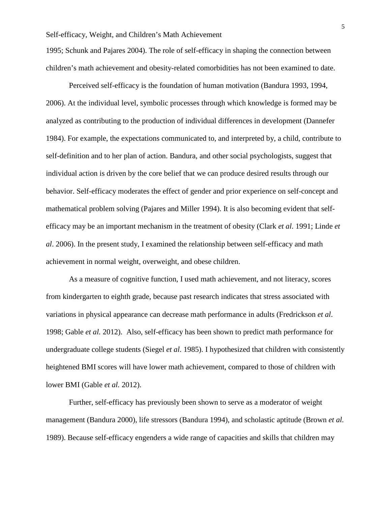1995; Schunk and Pajares 2004). The role of self-efficacy in shaping the connection between children's math achievement and obesity-related comorbidities has not been examined to date.

Perceived self-efficacy is the foundation of human motivation (Bandura 1993, 1994, 2006). At the individual level, symbolic processes through which knowledge is formed may be analyzed as contributing to the production of individual differences in development (Dannefer 1984). For example, the expectations communicated to, and interpreted by, a child, contribute to self-definition and to her plan of action. Bandura, and other social psychologists, suggest that individual action is driven by the core belief that we can produce desired results through our behavior. Self-efficacy moderates the effect of gender and prior experience on self-concept and mathematical problem solving (Pajares and Miller 1994). It is also becoming evident that selfefficacy may be an important mechanism in the treatment of obesity (Clark *et al*. 1991; Linde *et al*. 2006). In the present study, I examined the relationship between self-efficacy and math achievement in normal weight, overweight, and obese children.

As a measure of cognitive function, I used math achievement, and not literacy, scores from kindergarten to eighth grade, because past research indicates that stress associated with variations in physical appearance can decrease math performance in adults (Fredrickson *et al*. 1998; Gable *et al.* 2012). Also, self-efficacy has been shown to predict math performance for undergraduate college students (Siegel *et al*. 1985). I hypothesized that children with consistently heightened BMI scores will have lower math achievement, compared to those of children with lower BMI (Gable *et al.* 2012).

Further, self-efficacy has previously been shown to serve as a moderator of weight management (Bandura 2000), life stressors (Bandura 1994), and scholastic aptitude (Brown *et al.* 1989). Because self-efficacy engenders a wide range of capacities and skills that children may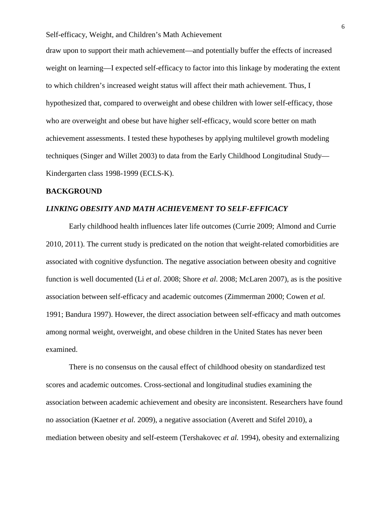draw upon to support their math achievement—and potentially buffer the effects of increased weight on learning—I expected self-efficacy to factor into this linkage by moderating the extent to which children's increased weight status will affect their math achievement. Thus, I hypothesized that, compared to overweight and obese children with lower self-efficacy, those who are overweight and obese but have higher self-efficacy, would score better on math achievement assessments. I tested these hypotheses by applying multilevel growth modeling techniques (Singer and Willet 2003) to data from the Early Childhood Longitudinal Study— Kindergarten class 1998-1999 (ECLS-K).

#### **BACKGROUND**

#### *LINKING OBESITY AND MATH ACHIEVEMENT TO SELF-EFFICACY*

Early childhood health influences later life outcomes (Currie 2009; Almond and Currie 2010, 2011). The current study is predicated on the notion that weight-related comorbidities are associated with cognitive dysfunction. The negative association between obesity and cognitive function is well documented (Li *et al*. 2008; Shore *et al*. 2008; McLaren 2007), as is the positive association between self-efficacy and academic outcomes (Zimmerman 2000; Cowen *et al.* 1991; Bandura 1997). However, the direct association between self-efficacy and math outcomes among normal weight, overweight, and obese children in the United States has never been examined.

There is no consensus on the causal effect of childhood obesity on standardized test scores and academic outcomes. Cross-sectional and longitudinal studies examining the association between academic achievement and obesity are inconsistent. Researchers have found no association (Kaetner *et al.* 2009), a negative association (Averett and Stifel 2010), a mediation between obesity and self-esteem (Tershakovec *et al.* 1994), obesity and externalizing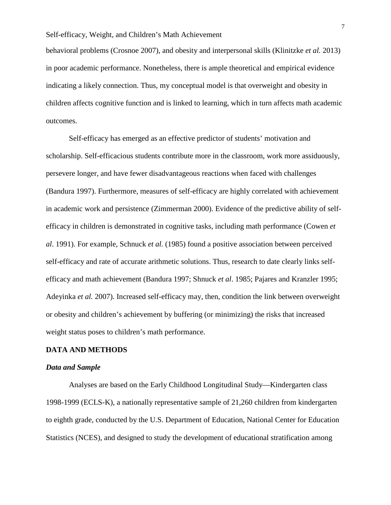behavioral problems (Crosnoe 2007), and obesity and interpersonal skills (Klinitzke *et al.* 2013) in poor academic performance. Nonetheless, there is ample theoretical and empirical evidence indicating a likely connection. Thus, my conceptual model is that overweight and obesity in children affects cognitive function and is linked to learning, which in turn affects math academic outcomes.

Self-efficacy has emerged as an effective predictor of students' motivation and scholarship. Self-efficacious students contribute more in the classroom, work more assiduously, persevere longer, and have fewer disadvantageous reactions when faced with challenges (Bandura 1997). Furthermore, measures of self-efficacy are highly correlated with achievement in academic work and persistence (Zimmerman 2000). Evidence of the predictive ability of selfefficacy in children is demonstrated in cognitive tasks, including math performance (Cowen *et al*. 1991). For example, Schnuck *et al.* (1985) found a positive association between perceived self-efficacy and rate of accurate arithmetic solutions. Thus, research to date clearly links selfefficacy and math achievement (Bandura 1997; Shnuck *et al*. 1985; Pajares and Kranzler 1995; Adeyinka *et al.* 2007). Increased self-efficacy may, then, condition the link between overweight or obesity and children's achievement by buffering (or minimizing) the risks that increased weight status poses to children's math performance.

#### **DATA AND METHODS**

#### *Data and Sample*

Analyses are based on the Early Childhood Longitudinal Study—Kindergarten class 1998-1999 (ECLS-K), a nationally representative sample of 21,260 children from kindergarten to eighth grade, conducted by the U.S. Department of Education, National Center for Education Statistics (NCES), and designed to study the development of educational stratification among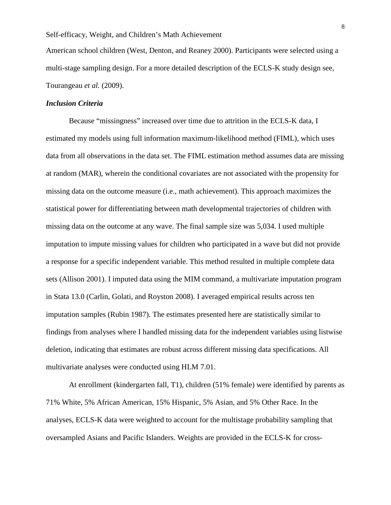American school children (West, Denton, and Reaney 2000). Participants were selected using a multi-stage sampling design. For a more detailed description of the ECLS-K study design see, Tourangeau *et al.* (2009).

#### *Inclusion Criteria*

Because "missingness" increased over time due to attrition in the ECLS-K data, I estimated my models using full information maximum-likelihood method (FIML), which uses data from all observations in the data set. The FIML estimation method assumes data are missing at random (MAR), wherein the conditional covariates are not associated with the propensity for missing data on the outcome measure (i.e., math achievement). This approach maximizes the statistical power for differentiating between math developmental trajectories of children with missing data on the outcome at any wave. The final sample size was 5,034. I used multiple imputation to impute missing values for children who participated in a wave but did not provide a response for a specific independent variable. This method resulted in multiple complete data sets (Allison 2001). I imputed data using the MIM command, a multivariate imputation program in Stata 13.0 (Carlin, Golati, and Royston 2008). I averaged empirical results across ten imputation samples (Rubin 1987). The estimates presented here are statistically similar to findings from analyses where I handled missing data for the independent variables using listwise deletion, indicating that estimates are robust across different missing data specifications. All multivariate analyses were conducted using HLM 7.01.

At enrollment (kindergarten fall, T1), children (51% female) were identified by parents as 71% White, 5% African American, 15% Hispanic, 5% Asian, and 5% Other Race. In the analyses, ECLS-K data were weighted to account for the multistage probability sampling that oversampled Asians and Pacific Islanders. Weights are provided in the ECLS-K for cross-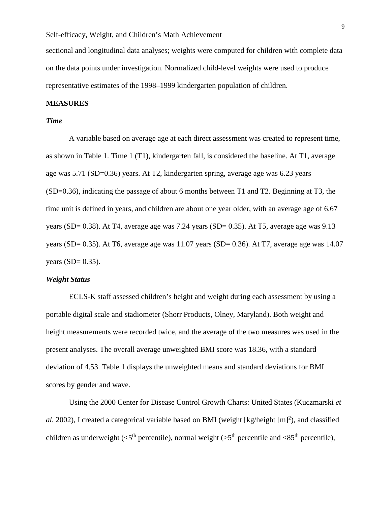sectional and longitudinal data analyses; weights were computed for children with complete data on the data points under investigation. Normalized child-level weights were used to produce representative estimates of the 1998–1999 kindergarten population of children.

#### **MEASURES**

#### *Time*

A variable based on average age at each direct assessment was created to represent time, as shown in Table 1. Time 1 (T1), kindergarten fall, is considered the baseline. At T1, average age was 5.71 (SD=0.36) years. At T2, kindergarten spring, average age was 6.23 years (SD=0.36), indicating the passage of about 6 months between T1 and T2. Beginning at T3, the time unit is defined in years, and children are about one year older, with an average age of 6.67 years (SD=  $0.38$ ). At T4, average age was 7.24 years (SD=  $0.35$ ). At T5, average age was 9.13 years (SD=  $0.35$ ). At T6, average age was 11.07 years (SD=  $0.36$ ). At T7, average age was 14.07 years  $(SD= 0.35)$ .

#### *Weight Status*

ECLS-K staff assessed children's height and weight during each assessment by using a portable digital scale and stadiometer (Shorr Products, Olney, Maryland). Both weight and height measurements were recorded twice, and the average of the two measures was used in the present analyses. The overall average unweighted BMI score was 18.36, with a standard deviation of 4.53. Table 1 displays the unweighted means and standard deviations for BMI scores by gender and wave.

Using the 2000 Center for Disease Control Growth Charts: United States (Kuczmarski *et*  al. 2002), I created a categorical variable based on BMI (weight [kg/height [m]<sup>2</sup>), and classified children as underweight ( $\langle 5^{th}$  percentile), normal weight ( $>5^{th}$  percentile and  $\langle 85^{th}$  percentile),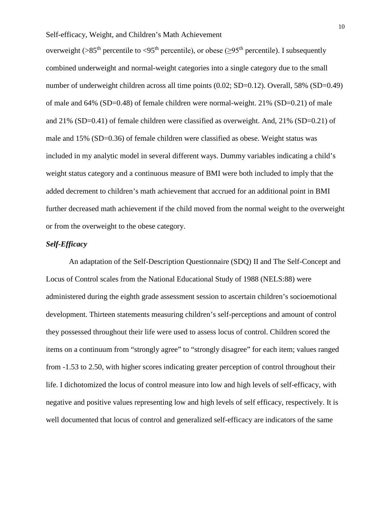overweight ( $>85<sup>th</sup>$  percentile to  $<95<sup>th</sup>$  percentile), or obese ( $\geq 95<sup>th</sup>$  percentile). I subsequently combined underweight and normal-weight categories into a single category due to the small number of underweight children across all time points (0.02; SD=0.12). Overall, 58% (SD=0.49) of male and 64% (SD=0.48) of female children were normal-weight. 21% (SD=0.21) of male and 21% (SD=0.41) of female children were classified as overweight. And, 21% (SD=0.21) of male and 15% (SD=0.36) of female children were classified as obese. Weight status was included in my analytic model in several different ways. Dummy variables indicating a child's weight status category and a continuous measure of BMI were both included to imply that the added decrement to children's math achievement that accrued for an additional point in BMI further decreased math achievement if the child moved from the normal weight to the overweight or from the overweight to the obese category.

#### *Self-Efficacy*

An adaptation of the Self-Description Questionnaire (SDQ) II and The Self-Concept and Locus of Control scales from the National Educational Study of 1988 (NELS:88) were administered during the eighth grade assessment session to ascertain children's socioemotional development. Thirteen statements measuring children's self-perceptions and amount of control they possessed throughout their life were used to assess locus of control. Children scored the items on a continuum from "strongly agree" to "strongly disagree" for each item; values ranged from -1.53 to 2.50, with higher scores indicating greater perception of control throughout their life. I dichotomized the locus of control measure into low and high levels of self-efficacy, with negative and positive values representing low and high levels of self efficacy, respectively. It is well documented that locus of control and generalized self-efficacy are indicators of the same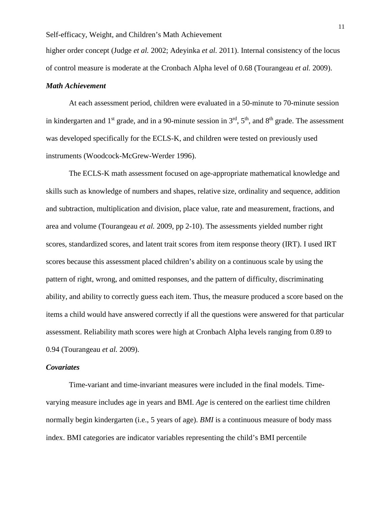higher order concept (Judge *et al.* 2002; Adeyinka *et al.* 2011). Internal consistency of the locus of control measure is moderate at the Cronbach Alpha level of 0.68 (Tourangeau *et al.* 2009).

#### *Math Achievement*

At each assessment period, children were evaluated in a 50-minute to 70-minute session in kindergarten and  $1<sup>st</sup>$  grade, and in a 90-minute session in  $3<sup>rd</sup>$ ,  $5<sup>th</sup>$ , and  $8<sup>th</sup>$  grade. The assessment was developed specifically for the ECLS-K, and children were tested on previously used instruments (Woodcock-McGrew-Werder 1996).

The ECLS-K math assessment focused on age-appropriate mathematical knowledge and skills such as knowledge of numbers and shapes, relative size, ordinality and sequence, addition and subtraction, multiplication and division, place value, rate and measurement, fractions, and area and volume (Tourangeau *et al.* 2009, pp 2-10). The assessments yielded number right scores, standardized scores, and latent trait scores from item response theory (IRT). I used IRT scores because this assessment placed children's ability on a continuous scale by using the pattern of right, wrong, and omitted responses, and the pattern of difficulty, discriminating ability, and ability to correctly guess each item. Thus, the measure produced a score based on the items a child would have answered correctly if all the questions were answered for that particular assessment. Reliability math scores were high at Cronbach Alpha levels ranging from 0.89 to 0.94 (Tourangeau *et al.* 2009).

#### *Covariates*

Time-variant and time-invariant measures were included in the final models. Timevarying measure includes age in years and BMI. *Age* is centered on the earliest time children normally begin kindergarten (i.e., 5 years of age). *BMI* is a continuous measure of body mass index. BMI categories are indicator variables representing the child's BMI percentile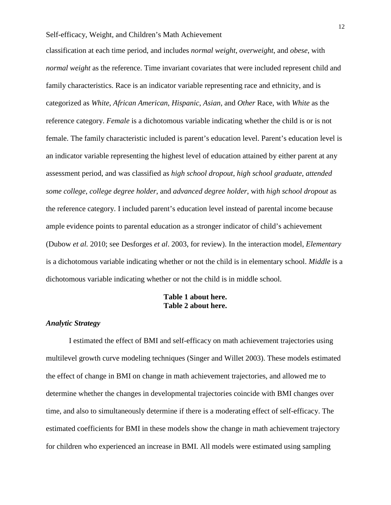classification at each time period, and includes *normal weight*, *overweight*, and *obese*, with *normal weight* as the reference. Time invariant covariates that were included represent child and family characteristics. Race is an indicator variable representing race and ethnicity, and is categorized as *White*, *African American*, *Hispanic*, *Asian*, and *Other* Race, with *White* as the reference category. *Female* is a dichotomous variable indicating whether the child is or is not female. The family characteristic included is parent's education level. Parent's education level is an indicator variable representing the highest level of education attained by either parent at any assessment period, and was classified as *high school dropout*, *high school graduate*, *attended some college*, *college degree holder*, and *advanced degree holder*, with *high school dropout* as the reference category. I included parent's education level instead of parental income because ample evidence points to parental education as a stronger indicator of child's achievement (Dubow *et al.* 2010; see Desforges *et al*. 2003, for review). In the interaction model, *Elementary* is a dichotomous variable indicating whether or not the child is in elementary school. *Middle* is a dichotomous variable indicating whether or not the child is in middle school.

#### **Table 1 about here. Table 2 about here.**

#### *Analytic Strategy*

I estimated the effect of BMI and self-efficacy on math achievement trajectories using multilevel growth curve modeling techniques (Singer and Willet 2003). These models estimated the effect of change in BMI on change in math achievement trajectories, and allowed me to determine whether the changes in developmental trajectories coincide with BMI changes over time, and also to simultaneously determine if there is a moderating effect of self-efficacy. The estimated coefficients for BMI in these models show the change in math achievement trajectory for children who experienced an increase in BMI. All models were estimated using sampling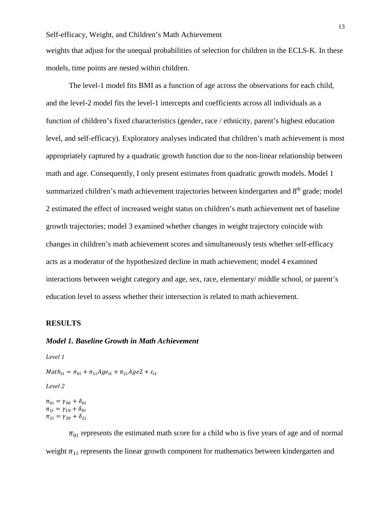weights that adjust for the unequal probabilities of selection for children in the ECLS-K. In these models, time points are nested within children.

The level-1 model fits BMI as a function of age across the observations for each child, and the level-2 model fits the level-1 intercepts and coefficients across all individuals as a function of children's fixed characteristics (gender, race / ethnicity, parent's highest education level, and self-efficacy). Exploratory analyses indicated that children's math achievement is most appropriately captured by a quadratic growth function due to the non-linear relationship between math and age. Consequently, I only present estimates from quadratic growth models. Model 1 summarized children's math achievement trajectories between kindergarten and 8<sup>th</sup> grade; model 2 estimated the effect of increased weight status on children's math achievement net of baseline growth trajectories; model 3 examined whether changes in weight trajectory coincide with changes in children's math achievement scores and simultaneously tests whether self-efficacy acts as a moderator of the hypothesized decline in math achievement; model 4 examined interactions between weight category and age, sex, race, elementary/ middle school, or parent's education level to assess whether their intersection is related to math achievement.

#### **RESULTS**

#### *Model 1. Baseline Growth in Math Achievement*

*Level 1*

 $Math_{it} = \pi_{0i} + \pi_{1i} Age_{it} + \pi_{2i} Age + \varepsilon_{it}$ 

*Level 2*

 $\pi_{0i} = \gamma_{00} + \delta_{0i}$  $\pi_{1i} = \gamma_{10} + \delta_{0i}$  $\pi_{2i} = \gamma_{20} + \delta_{2i}$ 

 $\pi_{0i}$  represents the estimated math score for a child who is five years of age and of normal weight  $\pi_{1i}$  represents the linear growth component for mathematics between kindergarten and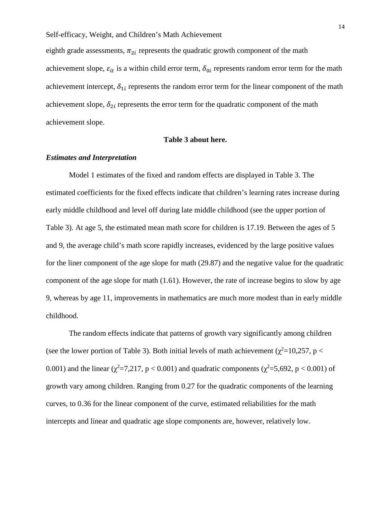eighth grade assessments,  $\pi_{2i}$  represents the quadratic growth component of the math achievement slope,  $\varepsilon_{it}$  is a within child error term,  $\delta_{0i}$  represents random error term for the math achievement intercept,  $\delta_{1i}$  represents the random error term for the linear component of the math achievement slope,  $\delta_{2i}$  represents the error term for the quadratic component of the math achievement slope.

#### **Table 3 about here.**

#### *Estimates and Interpretation*

Model 1 estimates of the fixed and random effects are displayed in Table 3. The estimated coefficients for the fixed effects indicate that children's learning rates increase during early middle childhood and level off during late middle childhood (see the upper portion of Table 3). At age 5, the estimated mean math score for children is 17.19. Between the ages of 5 and 9, the average child's math score rapidly increases, evidenced by the large positive values for the liner component of the age slope for math (29.87) and the negative value for the quadratic component of the age slope for math (1.61). However, the rate of increase begins to slow by age 9, whereas by age 11, improvements in mathematics are much more modest than in early middle childhood.

The random effects indicate that patterns of growth vary significantly among children (see the lower portion of Table 3). Both initial levels of math achievement ( $\chi^2$ =10,257, p < 0.001) and the linear ( $\chi^2$ =7,217, p < 0.001) and quadratic components ( $\chi^2$ =5,692, p < 0.001) of growth vary among children. Ranging from 0.27 for the quadratic components of the learning curves, to 0.36 for the linear component of the curve, estimated reliabilities for the math intercepts and linear and quadratic age slope components are, however, relatively low.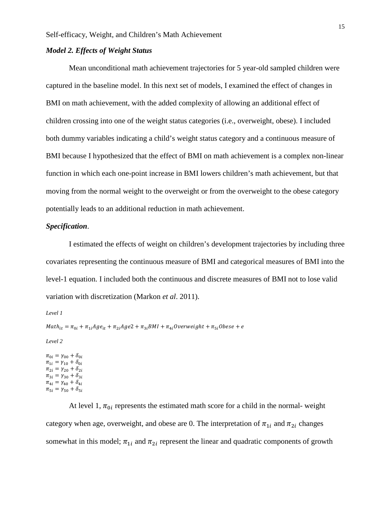#### *Model 2. Effects of Weight Status*

Mean unconditional math achievement trajectories for 5 year-old sampled children were captured in the baseline model. In this next set of models, I examined the effect of changes in BMI on math achievement, with the added complexity of allowing an additional effect of children crossing into one of the weight status categories (i.e., overweight, obese). I included both dummy variables indicating a child's weight status category and a continuous measure of BMI because I hypothesized that the effect of BMI on math achievement is a complex non-linear function in which each one-point increase in BMI lowers children's math achievement, but that moving from the normal weight to the overweight or from the overweight to the obese category potentially leads to an additional reduction in math achievement.

#### *Specification*.

I estimated the effects of weight on children's development trajectories by including three covariates representing the continuous measure of BMI and categorical measures of BMI into the level-1 equation. I included both the continuous and discrete measures of BMI not to lose valid variation with discretization (Markon *et al*. 2011).

*Level 1*

```
Math_{it} = \pi_{0i} + \pi_{1i}Age_{it} + \pi_{2i} Age2 + \pi_{3i} BMI + \pi_{4i} Overweight + \pi_{5i} Obese + e
```
*Level 2*

 $\pi_{0i} = \gamma_{00} + \delta_{0i}$  $\pi_{1i} = \gamma_{10} + \delta_{0i}$  $\pi_{2i} = \gamma_{20} + \delta_{2i}$  $\pi_{3i} = \gamma_{30} + \delta_{3i}$  $\pi_{4i} = \gamma_{40} + \delta_{4i}$  $\pi_{5i} = \gamma_{50} + \delta_{5i}$ 

At level 1,  $\pi_{0i}$  represents the estimated math score for a child in the normal-weight category when age, overweight, and obese are 0. The interpretation of  $\pi_{1i}$  and  $\pi_{2i}$  changes somewhat in this model;  $\pi_{1i}$  and  $\pi_{2i}$  represent the linear and quadratic components of growth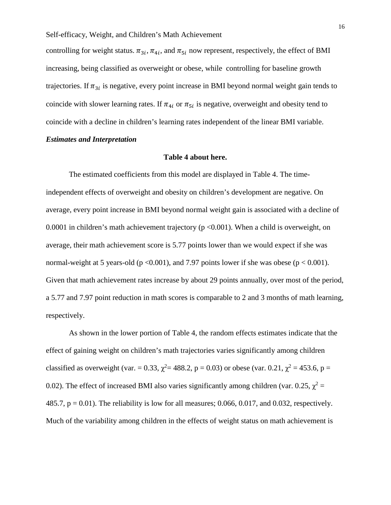controlling for weight status.  $\pi_{3i}$ ,  $\pi_{4i}$ , and  $\pi_{5i}$  now represent, respectively, the effect of BMI increasing, being classified as overweight or obese, while controlling for baseline growth trajectories. If  $\pi_{3i}$  is negative, every point increase in BMI beyond normal weight gain tends to coincide with slower learning rates. If  $\pi_{4i}$  or  $\pi_{5i}$  is negative, overweight and obesity tend to coincide with a decline in children's learning rates independent of the linear BMI variable.

#### *Estimates and Interpretation*

#### **Table 4 about here.**

The estimated coefficients from this model are displayed in Table 4. The timeindependent effects of overweight and obesity on children's development are negative. On average, every point increase in BMI beyond normal weight gain is associated with a decline of 0.0001 in children's math achievement trajectory (p <0.001). When a child is overweight, on average, their math achievement score is 5.77 points lower than we would expect if she was normal-weight at 5 years-old ( $p \le 0.001$ ), and 7.97 points lower if she was obese ( $p \le 0.001$ ). Given that math achievement rates increase by about 29 points annually, over most of the period, a 5.77 and 7.97 point reduction in math scores is comparable to 2 and 3 months of math learning, respectively.

As shown in the lower portion of Table 4, the random effects estimates indicate that the effect of gaining weight on children's math trajectories varies significantly among children classified as overweight (var. = 0.33,  $\chi^2$  = 488.2, p = 0.03) or obese (var. 0.21,  $\chi^2$  = 453.6, p = 0.02). The effect of increased BMI also varies significantly among children (var. 0.25,  $\chi^2$  = 485.7,  $p = 0.01$ ). The reliability is low for all measures; 0.066, 0.017, and 0.032, respectively. Much of the variability among children in the effects of weight status on math achievement is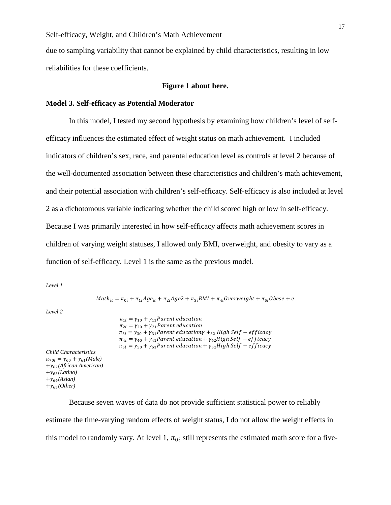due to sampling variability that cannot be explained by child characteristics, resulting in low reliabilities for these coefficients.

#### **Figure 1 about here.**

#### **Model 3. Self-efficacy as Potential Moderator**

In this model, I tested my second hypothesis by examining how children's level of selfefficacy influences the estimated effect of weight status on math achievement. I included indicators of children's sex, race, and parental education level as controls at level 2 because of the well-documented association between these characteristics and children's math achievement, and their potential association with children's self-efficacy. Self-efficacy is also included at level 2 as a dichotomous variable indicating whether the child scored high or low in self-efficacy. Because I was primarily interested in how self-efficacy affects math achievement scores in children of varying weight statuses, I allowed only BMI, overweight, and obesity to vary as a function of self-efficacy. Level 1 is the same as the previous model.

*Level 1*

 $Math_{it} = \pi_{0i} + \pi_{1i}Age_{it} + \pi_{2i} Age2 + \pi_{3i} BMI + \pi_{4i} Overweight + \pi_{5i} Obese + e$ 

*Level 2*

```
\pi_{1i} = \gamma_{10} + \gamma_{11}Parent education
                                         \pi_{2i} = \gamma_{20} + \gamma_{21} Parent education
                                         \pi_{3i} = \gamma_{30} + \gamma_{31}Parent educationy +_{32} High Self – efficacy
                                         \pi_{4i} = \gamma_{40} + \gamma_{41}Parent education + \gamma_{42}High Self – efficacy
                                         \pi_{5i} = \gamma_{50} + \gamma_{51}Parent education + \gamma_{52}High Self – efficacy
Child Characteristics
\pi_{70i} = \gamma_{60} + \gamma_{61}(Male)+62(African American)
+\gamma_{63}(Latino)+\gamma_{64}(Asian)+\gamma_{65}(Other)
```
Because seven waves of data do not provide sufficient statistical power to reliably estimate the time-varying random effects of weight status, I do not allow the weight effects in this model to randomly vary. At level 1,  $\pi_{0i}$  still represents the estimated math score for a five-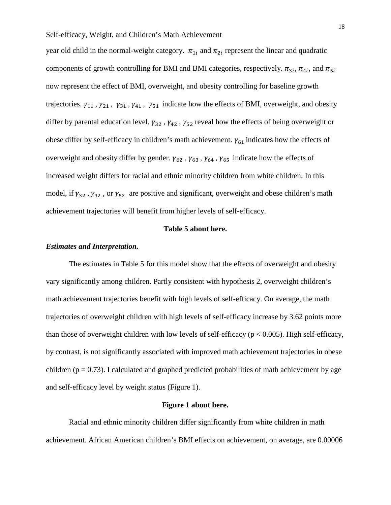year old child in the normal-weight category.  $\pi_{1i}$  and  $\pi_{2i}$  represent the linear and quadratic components of growth controlling for BMI and BMI categories, respectively.  $\pi_{3i}$ ,  $\pi_{4i}$ , and  $\pi_{5i}$ now represent the effect of BMI, overweight, and obesity controlling for baseline growth trajectories.  $\gamma_{11}$ ,  $\gamma_{21}$ ,  $\gamma_{31}$ ,  $\gamma_{41}$ ,  $\gamma_{51}$  indicate how the effects of BMI, overweight, and obesity differ by parental education level.  $\gamma_{32}$ ,  $\gamma_{42}$ ,  $\gamma_{52}$  reveal how the effects of being overweight or obese differ by self-efficacy in children's math achievement.  $\gamma_{61}$  indicates how the effects of overweight and obesity differ by gender.  $\gamma_{62}$ ,  $\gamma_{63}$ ,  $\gamma_{64}$ ,  $\gamma_{65}$  indicate how the effects of increased weight differs for racial and ethnic minority children from white children. In this model, if  $\gamma_{32}$ ,  $\gamma_{42}$ , or  $\gamma_{52}$  are positive and significant, overweight and obese children's math achievement trajectories will benefit from higher levels of self-efficacy.

#### **Table 5 about here.**

#### *Estimates and Interpretation.*

The estimates in Table 5 for this model show that the effects of overweight and obesity vary significantly among children. Partly consistent with hypothesis 2, overweight children's math achievement trajectories benefit with high levels of self-efficacy. On average, the math trajectories of overweight children with high levels of self-efficacy increase by 3.62 points more than those of overweight children with low levels of self-efficacy ( $p < 0.005$ ). High self-efficacy, by contrast, is not significantly associated with improved math achievement trajectories in obese children ( $p = 0.73$ ). I calculated and graphed predicted probabilities of math achievement by age and self-efficacy level by weight status (Figure 1).

#### **Figure 1 about here.**

Racial and ethnic minority children differ significantly from white children in math achievement. African American children's BMI effects on achievement, on average, are 0.00006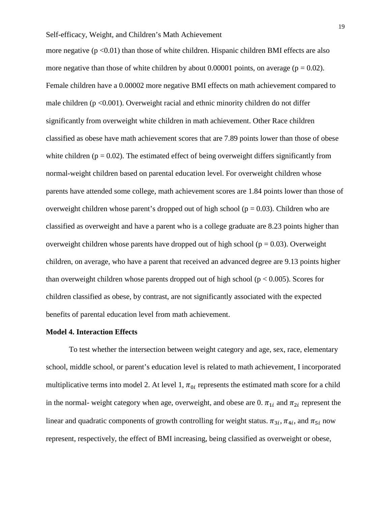more negative  $(p < 0.01)$  than those of white children. Hispanic children BMI effects are also more negative than those of white children by about 0.00001 points, on average ( $p = 0.02$ ). Female children have a 0.00002 more negative BMI effects on math achievement compared to male children  $(p < 0.001)$ . Overweight racial and ethnic minority children do not differ significantly from overweight white children in math achievement. Other Race children classified as obese have math achievement scores that are 7.89 points lower than those of obese white children ( $p = 0.02$ ). The estimated effect of being overweight differs significantly from normal-weight children based on parental education level. For overweight children whose parents have attended some college, math achievement scores are 1.84 points lower than those of overweight children whose parent's dropped out of high school ( $p = 0.03$ ). Children who are classified as overweight and have a parent who is a college graduate are 8.23 points higher than overweight children whose parents have dropped out of high school ( $p = 0.03$ ). Overweight children, on average, who have a parent that received an advanced degree are 9.13 points higher than overweight children whose parents dropped out of high school ( $p < 0.005$ ). Scores for children classified as obese, by contrast, are not significantly associated with the expected benefits of parental education level from math achievement.

#### **Model 4. Interaction Effects**

To test whether the intersection between weight category and age, sex, race, elementary school, middle school, or parent's education level is related to math achievement, I incorporated multiplicative terms into model 2. At level 1,  $\pi_{0i}$  represents the estimated math score for a child in the normal- weight category when age, overweight, and obese are 0.  $\pi_{1i}$  and  $\pi_{2i}$  represent the linear and quadratic components of growth controlling for weight status.  $\pi_{3i}$ ,  $\pi_{4i}$ , and  $\pi_{5i}$  now represent, respectively, the effect of BMI increasing, being classified as overweight or obese,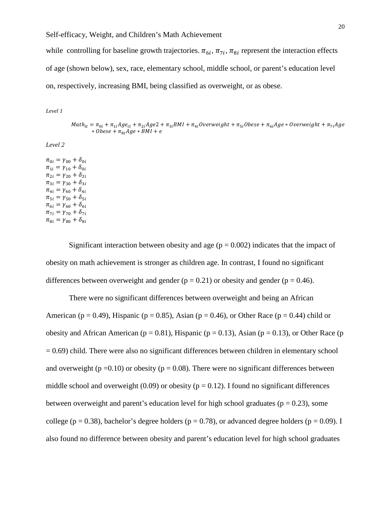while controlling for baseline growth trajectories.  $\pi_{6i}$ ,  $\pi_{7i}$ ,  $\pi_{8i}$  represent the interaction effects of age (shown below), sex, race, elementary school, middle school, or parent's education level on, respectively, increasing BMI, being classified as overweight, or as obese.

*Level 1*

 $Math_{it} = \pi_{0i} + \pi_{1i}Age_{it} + \pi_{2i} Age + \pi_{3i} BMI + \pi_{4i} Overweight + \pi_{5i} Obese + \pi_{6i} Age * Overweight + \pi_{7i} Age$  $\ast$  *Obese* +  $\pi_{\alpha i} A g e \ast B M I + e$ 

*Level 2*

 $\pi_{0i} = \gamma_{00} + \delta_{0i}$  $\pi_{1i} = \gamma_{10} + \delta_{0i}$  $\pi_{2i} = \gamma_{20} + \delta_{2i}$  $\pi_{3i} = \gamma_{30} + \delta_{3i}$  $\pi_{4i} = \gamma_{40} + \delta_{4i}$  $\pi_{5i} = \gamma_{50} + \delta_{5i}$  $\pi_{6i} = \gamma_{60} + \delta_{6i}$  $\pi_{7i} = \gamma_{70} + \delta_{7i}$  $\pi_{8i} = \gamma_{80} + \delta_{8i}$ 

Significant interaction between obesity and age ( $p = 0.002$ ) indicates that the impact of obesity on math achievement is stronger as children age. In contrast, I found no significant differences between overweight and gender ( $p = 0.21$ ) or obesity and gender ( $p = 0.46$ ).

There were no significant differences between overweight and being an African American ( $p = 0.49$ ), Hispanic ( $p = 0.85$ ), Asian ( $p = 0.46$ ), or Other Race ( $p = 0.44$ ) child or obesity and African American ( $p = 0.81$ ), Hispanic ( $p = 0.13$ ), Asian ( $p = 0.13$ ), or Other Race ( $p = 0.13$ )  $= 0.69$ ) child. There were also no significant differences between children in elementary school and overweight ( $p = 0.10$ ) or obesity ( $p = 0.08$ ). There were no significant differences between middle school and overweight (0.09) or obesity ( $p = 0.12$ ). I found no significant differences between overweight and parent's education level for high school graduates ( $p = 0.23$ ), some college ( $p = 0.38$ ), bachelor's degree holders ( $p = 0.78$ ), or advanced degree holders ( $p = 0.09$ ). I also found no difference between obesity and parent's education level for high school graduates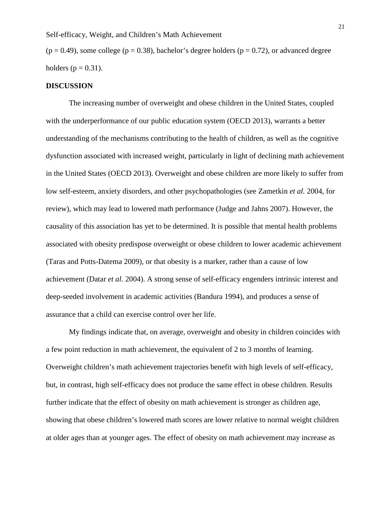$(p = 0.49)$ , some college (p = 0.38), bachelor's degree holders (p = 0.72), or advanced degree holders ( $p = 0.31$ ).

#### **DISCUSSION**

The increasing number of overweight and obese children in the United States, coupled with the underperformance of our public education system (OECD 2013), warrants a better understanding of the mechanisms contributing to the health of children, as well as the cognitive dysfunction associated with increased weight, particularly in light of declining math achievement in the United States (OECD 2013). Overweight and obese children are more likely to suffer from low self-esteem, anxiety disorders, and other psychopathologies (see Zametkin *et al.* 2004, for review), which may lead to lowered math performance (Judge and Jahns 2007). However, the causality of this association has yet to be determined. It is possible that mental health problems associated with obesity predispose overweight or obese children to lower academic achievement (Taras and Potts-Datema 2009), or that obesity is a marker, rather than a cause of low achievement (Datar *et al.* 2004). A strong sense of self-efficacy engenders intrinsic interest and deep-seeded involvement in academic activities (Bandura 1994), and produces a sense of assurance that a child can exercise control over her life.

My findings indicate that, on average, overweight and obesity in children coincides with a few point reduction in math achievement, the equivalent of 2 to 3 months of learning. Overweight children's math achievement trajectories benefit with high levels of self-efficacy, but, in contrast, high self-efficacy does not produce the same effect in obese children. Results further indicate that the effect of obesity on math achievement is stronger as children age, showing that obese children's lowered math scores are lower relative to normal weight children at older ages than at younger ages. The effect of obesity on math achievement may increase as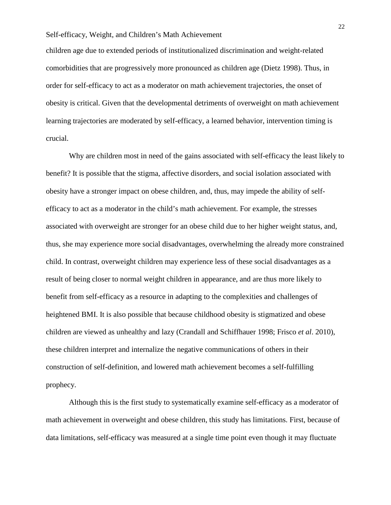children age due to extended periods of institutionalized discrimination and weight-related comorbidities that are progressively more pronounced as children age (Dietz 1998). Thus, in order for self-efficacy to act as a moderator on math achievement trajectories, the onset of obesity is critical. Given that the developmental detriments of overweight on math achievement learning trajectories are moderated by self-efficacy, a learned behavior, intervention timing is crucial.

Why are children most in need of the gains associated with self-efficacy the least likely to benefit? It is possible that the stigma, affective disorders, and social isolation associated with obesity have a stronger impact on obese children, and, thus, may impede the ability of selfefficacy to act as a moderator in the child's math achievement. For example, the stresses associated with overweight are stronger for an obese child due to her higher weight status, and, thus, she may experience more social disadvantages, overwhelming the already more constrained child. In contrast, overweight children may experience less of these social disadvantages as a result of being closer to normal weight children in appearance, and are thus more likely to benefit from self-efficacy as a resource in adapting to the complexities and challenges of heightened BMI. It is also possible that because childhood obesity is stigmatized and obese children are viewed as unhealthy and lazy (Crandall and Schiffhauer 1998; Frisco *et al*. 2010), these children interpret and internalize the negative communications of others in their construction of self-definition, and lowered math achievement becomes a self-fulfilling prophecy.

Although this is the first study to systematically examine self-efficacy as a moderator of math achievement in overweight and obese children, this study has limitations. First, because of data limitations, self-efficacy was measured at a single time point even though it may fluctuate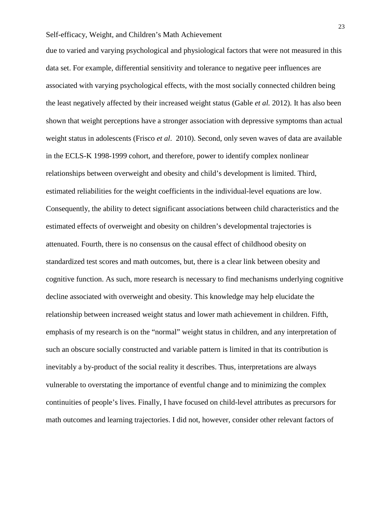due to varied and varying psychological and physiological factors that were not measured in this data set. For example, differential sensitivity and tolerance to negative peer influences are associated with varying psychological effects, with the most socially connected children being the least negatively affected by their increased weight status (Gable *et al.* 2012). It has also been shown that weight perceptions have a stronger association with depressive symptoms than actual weight status in adolescents (Frisco *et al*. 2010). Second, only seven waves of data are available in the ECLS-K 1998-1999 cohort, and therefore, power to identify complex nonlinear relationships between overweight and obesity and child's development is limited. Third, estimated reliabilities for the weight coefficients in the individual-level equations are low. Consequently, the ability to detect significant associations between child characteristics and the estimated effects of overweight and obesity on children's developmental trajectories is attenuated. Fourth, there is no consensus on the causal effect of childhood obesity on standardized test scores and math outcomes, but, there is a clear link between obesity and cognitive function. As such, more research is necessary to find mechanisms underlying cognitive decline associated with overweight and obesity. This knowledge may help elucidate the relationship between increased weight status and lower math achievement in children. Fifth, emphasis of my research is on the "normal" weight status in children, and any interpretation of such an obscure socially constructed and variable pattern is limited in that its contribution is inevitably a by-product of the social reality it describes. Thus, interpretations are always vulnerable to overstating the importance of eventful change and to minimizing the complex continuities of people's lives. Finally, I have focused on child-level attributes as precursors for math outcomes and learning trajectories. I did not, however, consider other relevant factors of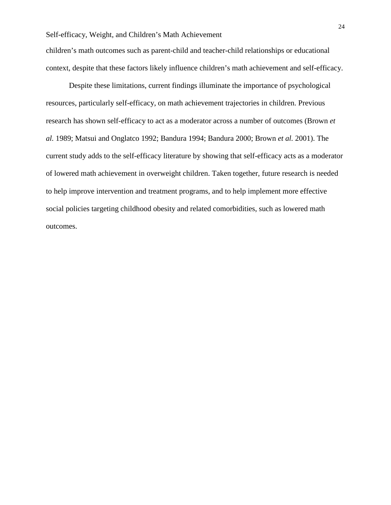children's math outcomes such as parent-child and teacher-child relationships or educational context, despite that these factors likely influence children's math achievement and self-efficacy.

Despite these limitations, current findings illuminate the importance of psychological resources, particularly self-efficacy, on math achievement trajectories in children. Previous research has shown self-efficacy to act as a moderator across a number of outcomes (Brown *et al.* 1989; Matsui and Onglatco 1992; Bandura 1994; Bandura 2000; Brown *et al.* 2001). The current study adds to the self-efficacy literature by showing that self-efficacy acts as a moderator of lowered math achievement in overweight children. Taken together, future research is needed to help improve intervention and treatment programs, and to help implement more effective social policies targeting childhood obesity and related comorbidities, such as lowered math outcomes.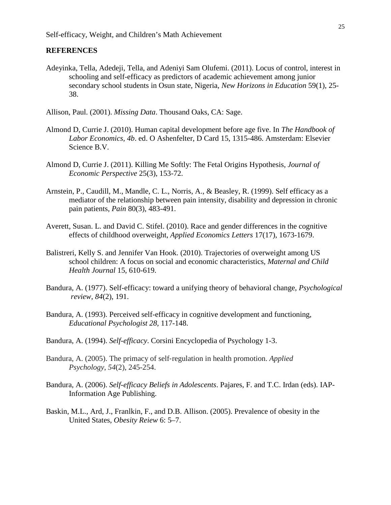#### **REFERENCES**

Adeyinka, Tella, Adedeji, Tella, and Adeniyi Sam Olufemi. (2011). Locus of control, interest in schooling and self-efficacy as predictors of academic achievement among junior secondary school students in Osun state, Nigeria, *New Horizons in Education* 59(1), 25- 38.

Allison, Paul. (2001). *Missing Data*. Thousand Oaks, CA: Sage.

- Almond D, Currie J. (2010). Human capital development before age five. In *The Handbook of Labor Economics, 4b*. ed. O Ashenfelter, D Card 15, 1315-486. Amsterdam: Elsevier Science B.V.
- Almond D, Currie J. (2011). Killing Me Softly: The Fetal Origins Hypothesis, *Journal of Economic Perspective* 25(3), 153-72.
- Arnstein, P., Caudill, M., Mandle, C. L., Norris, A., & Beasley, R. (1999). Self efficacy as a mediator of the relationship between pain intensity, disability and depression in chronic pain patients, *Pain* 80(3), 483-491.
- Averett, Susan. L. and David C. Stifel. (2010). Race and gender differences in the cognitive effects of childhood overweight, *Applied Economics Letters* 17(17), 1673-1679.
- Balistreri, Kelly S. and Jennifer Van Hook. (2010). Trajectories of overweight among US school children: A focus on social and economic characteristics, *Maternal and Child Health Journal* 15, 610-619.
- Bandura, A. (1977). Self-efficacy: toward a unifying theory of behavioral change, *Psychological review*, *84*(2), 191.
- Bandura, A. (1993). Perceived self-efficacy in cognitive development and functioning, *Educational Psychologist 28,* 117-148.
- Bandura, A. (1994). *Self-efficacy*. Corsini Encyclopedia of Psychology 1-3.
- Bandura, A. (2005). The primacy of self‐regulation in health promotion. *Applied Psychology*, *54*(2), 245-254.
- Bandura, A. (2006). *Self-efficacy Beliefs in Adolescents*. Pajares, F. and T.C. Irdan (eds). IAP-Information Age Publishing.
- Baskin, M.L., Ard, J., Franlkin, F., and D.B. Allison. (2005). Prevalence of obesity in the United States, *Obesity Reiew* 6: 5–7.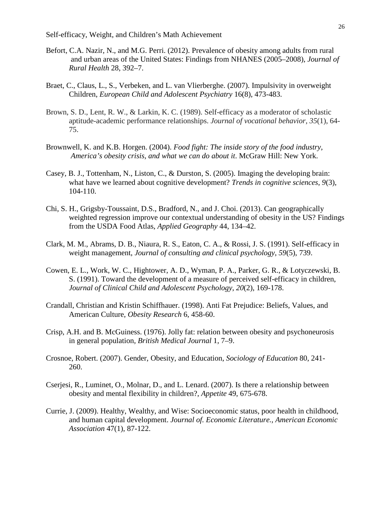- Befort, C.A. Nazir, N., and M.G. Perri. (2012). Prevalence of obesity among adults from rural and urban areas of the United States: Findings from NHANES (2005–2008), *Journal of Rural Health* 28, 392–7.
- Braet, C., Claus, L., S., Verbeken, and L. van Vlierberghe. (2007). Impulsivity in overweight Children, *European Child and Adolescent Psychiatry* 16(8), 473-483.
- Brown, S. D., Lent, R. W., & Larkin, K. C. (1989). Self-efficacy as a moderator of scholastic aptitude-academic performance relationships. *Journal of vocational behavior*, *35*(1), 64- 75.
- Brownwell, K. and K.B. Horgen. (2004). *Food fight: The inside story of the food industry, America's obesity crisis, and what we can do about it*. McGraw Hill: New York.
- Casey, B. J., Tottenham, N., Liston, C., & Durston, S. (2005). Imaging the developing brain: what have we learned about cognitive development? *Trends in cognitive sciences*, *9*(3), 104-110.
- Chi, S. H., Grigsby-Toussaint, D.S., Bradford, N., and J. Choi. (2013). Can geographically weighted regression improve our contextual understanding of obesity in the US? Findings from the USDA Food Atlas, *Applied Geography* 44, 134–42.
- Clark, M. M., Abrams, D. B., Niaura, R. S., Eaton, C. A., & Rossi, J. S. (1991). Self-efficacy in weight management, *Journal of consulting and clinical psychology*, *59*(5), 739.
- Cowen, E. L., Work, W. C., Hightower, A. D., Wyman, P. A., Parker, G. R., & Lotyczewski, B. S. (1991). Toward the development of a measure of perceived self-efficacy in children, *Journal of Clinical Child and Adolescent Psychology*, *20*(2), 169-178.
- Crandall, Christian and Kristin Schiffhauer. (1998). Anti Fat Prejudice: Beliefs, Values, and American Culture, *Obesity Research* 6, 458-60.
- Crisp, A.H. and B. McGuiness. (1976). Jolly fat: relation between obesity and psychoneurosis in general population, *British Medical Journal* 1, 7–9.
- Crosnoe, Robert. (2007). Gender, Obesity, and Education, *Sociology of Education* 80, 241- 260.
- Cserjesi, R., Luminet, O., Molnar, D., and L. Lenard. (2007). Is there a relationship between obesity and mental flexibility in children?, *Appetite* 49, 675-678.
- Currie, J. (2009). Healthy, Wealthy, and Wise: Socioeconomic status, poor health in childhood, and human capital development. *Journal of. Economic Literature., American Economic Association* 47(1), 87-122.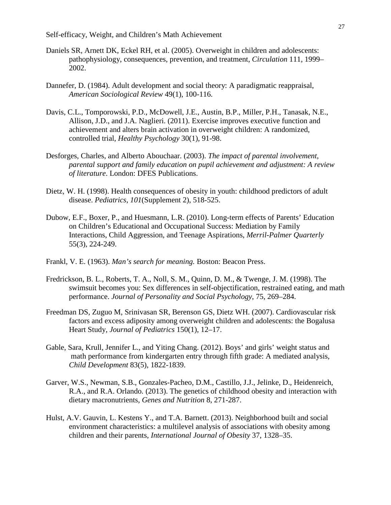- Daniels SR, Arnett DK, Eckel RH, et al. (2005). Overweight in children and adolescents: pathophysiology, consequences, prevention, and treatment, *Circulation* 111, 1999– 2002.
- Dannefer, D. (1984). Adult development and social theory: A paradigmatic reappraisal, *American Sociological Review* 49(1), 100-116.
- Davis, C.L., Tomporowski, P.D., McDowell, J.E., Austin, B.P., Miller, P.H., Tanasak, N.E., Allison, J.D., and J.A. Naglieri. (2011). Exercise improves executive function and achievement and alters brain activation in overweight children: A randomized, controlled trial, *Healthy Psychology* 30(1), 91-98.
- Desforges, Charles, and Alberto Abouchaar. (2003). *The impact of parental involvement, parental support and family education on pupil achievement and adjustment: A review of literature*. London: DFES Publications.
- Dietz, W. H. (1998). Health consequences of obesity in youth: childhood predictors of adult disease. *Pediatrics*, *101*(Supplement 2), 518-525.
- Dubow, E.F., Boxer, P., and Huesmann, L.R. (2010). Long-term effects of Parents' Education on Children's Educational and Occupational Success: Mediation by Family Interactions, Child Aggression, and Teenage Aspirations, *Merril-Palmer Quarterly* 55(3), 224-249.
- Frankl, V. E. (1963). *Man's search for meaning.* Boston: Beacon Press.
- Fredrickson, B. L., Roberts, T. A., Noll, S. M., Quinn, D. M., & Twenge, J. M. (1998). The swimsuit becomes you: Sex differences in self-objectification, restrained eating, and math performance. *Journal of Personality and Social Psychology*, 75, 269–284.
- Freedman DS, Zuguo M, Srinivasan SR, Berenson GS, Dietz WH. (2007). Cardiovascular risk factors and excess adiposity among overweight children and adolescents: the Bogalusa Heart Study, *Journal of Pediatrics* 150(1), 12–17.
- Gable, Sara, Krull, Jennifer L., and Yiting Chang. (2012). Boys' and girls' weight status and math performance from kindergarten entry through fifth grade: A mediated analysis, *Child Development* 83(5), 1822-1839.
- Garver, W.S., Newman, S.B., Gonzales-Pacheo, D.M., Castillo, J.J., Jelinke, D., Heidenreich, R.A., and R.A. Orlando. (2013). The genetics of childhood obesity and interaction with dietary macronutrients, *Genes and Nutrition* 8, 271-287.
- Hulst, A.V. Gauvin, L. Kestens Y., and T.A. Barnett. (2013). Neighborhood built and social environment characteristics: a multilevel analysis of associations with obesity among children and their parents, *International Journal of Obesity* 37, 1328–35.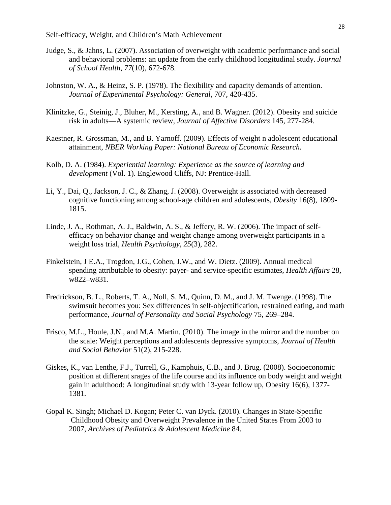- Judge, S., & Jahns, L. (2007). Association of overweight with academic performance and social and behavioral problems: an update from the early childhood longitudinal study. *Journal of School Health*, *77*(10), 672-678.
- Johnston, W. A., & Heinz, S. P. (1978). The flexibility and capacity demands of attention. *Journal of Experimental Psychology: General,* 707, 420-435.
- Klinitzke, G., Steinig, J., Bluher, M., Kersting, A., and B. Wagner. (2012). Obesity and suicide risk in adults—A systemic review, *Journal of Affective Disorders* 145, 277-284.
- Kaestner, R. Grossman, M., and B. Yarnoff. (2009). Effects of weight n adolescent educational attainment, *NBER Working Paper: National Bureau of Economic Research.*
- Kolb, D. A. (1984). *Experiential learning: Experience as the source of learning and development* (Vol. 1). Englewood Cliffs, NJ: Prentice-Hall.
- Li, Y., Dai, Q., Jackson, J. C., & Zhang, J. (2008). Overweight is associated with decreased cognitive functioning among school‐age children and adolescents, *Obesity* 16(8), 1809- 1815.
- Linde, J. A., Rothman, A. J., Baldwin, A. S., & Jeffery, R. W. (2006). The impact of selfefficacy on behavior change and weight change among overweight participants in a weight loss trial, *Health Psychology*, *25*(3), 282.
- Finkelstein, J E.A., Trogdon, J.G., Cohen, J.W., and W. Dietz. (2009). Annual medical spending attributable to obesity: payer- and service-specific estimates, *Health Affairs* 28, w822–w831.
- Fredrickson, B. L., Roberts, T. A., Noll, S. M., Quinn, D. M., and J. M. Twenge. (1998). The swimsuit becomes you: Sex differences in self-objectification, restrained eating, and math performance, *Journal of Personality and Social Psychology* 75, 269–284.
- Frisco, M.L., Houle, J.N., and M.A. Martin. (2010). The image in the mirror and the number on the scale: Weight perceptions and adolescents depressive symptoms, *Journal of Health and Social Behavior* 51(2), 215-228.
- Giskes, K., van Lenthe, F.J., Turrell, G., Kamphuis, C.B., and J. Brug. (2008). Socioeconomic position at different srages of the life course and its influence on body weight and weight gain in adulthood: A longitudinal study with 13-year follow up, Obesity 16(6), 1377- 1381.
- Gopal K. Singh; Michael D. Kogan; Peter C. van Dyck. (2010). Changes in State-Specific Childhood Obesity and Overweight Prevalence in the United States From 2003 to 2007, *Archives of Pediatrics & Adolescent Medicine* 84.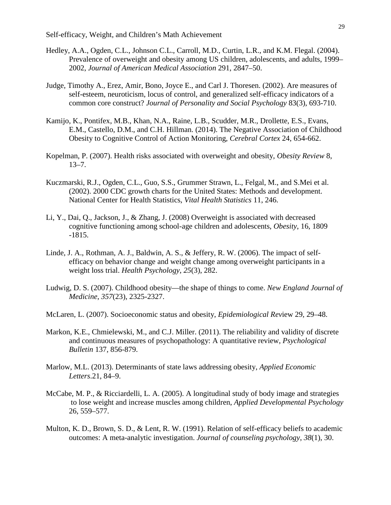- Hedley, A.A., Ogden, C.L., Johnson C.L., Carroll, M.D., Curtin, L.R., and K.M. Flegal. (2004). Prevalence of overweight and obesity among US children, adolescents, and adults, 1999– 2002, *Journal of American Medical Association* 291, 2847–50.
- Judge, Timothy A., Erez, Amir, Bono, Joyce E., and Carl J. Thoresen. (2002). Are measures of self-esteem, neuroticism, locus of control, and generalized self-efficacy indicators of a common core construct? *Journal of Personality and Social Psychology* 83(3), 693-710.
- Kamijo, K., Pontifex, M.B., Khan, N.A., Raine, L.B., Scudder, M.R., Drollette, E.S., Evans, E.M., Castello, D.M., and C.H. Hillman. (2014). The Negative Association of Childhood Obesity to Cognitive Control of Action Monitoring, *Cerebral Cortex* 24, 654-662.
- Kopelman, P. (2007). Health risks associated with overweight and obesity, *Obesity Review* 8,  $13 - 7$ .
- Kuczmarski, R.J., Ogden, C.L., Guo, S.S., Grummer Strawn, L., Felgal, M., and S.Mei et al. (2002). 2000 CDC growth charts for the United States: Methods and development. National Center for Health Statistics, *Vital Health Statistics* 11, 246.
- Li, Y., Dai, Q., Jackson, J., & Zhang, J. (2008) Overweight is associated with decreased cognitive functioning among school-age children and adolescents, *Obesity*, 16, 1809 -1815.
- Linde, J. A., Rothman, A. J., Baldwin, A. S., & Jeffery, R. W. (2006). The impact of selfefficacy on behavior change and weight change among overweight participants in a weight loss trial. *Health Psychology*, *25*(3), 282.
- Ludwig, D. S. (2007). Childhood obesity—the shape of things to come. *New England Journal of Medicine*, *357*(23), 2325-2327.
- McLaren, L. (2007). Socioeconomic status and obesity, *Epidemiological Rev*iew 29, 29–48.
- Markon, K.E., Chmielewski, M., and C.J. Miller. (2011). The reliability and validity of discrete and continuous measures of psychopathology: A quantitative review, *Psychological Bulletin* 137, 856-879.
- Marlow, M.L. (2013). Determinants of state laws addressing obesity, *Applied Economic Letters*.21, 84–9.
- McCabe, M. P., & Ricciardelli, L. A. (2005). A longitudinal study of body image and strategies to lose weight and increase muscles among children, *Applied Developmental Psychology* 26, 559–577.
- Multon, K. D., Brown, S. D., & Lent, R. W. (1991). Relation of self-efficacy beliefs to academic outcomes: A meta-analytic investigation. *Journal of counseling psychology*, *38*(1), 30.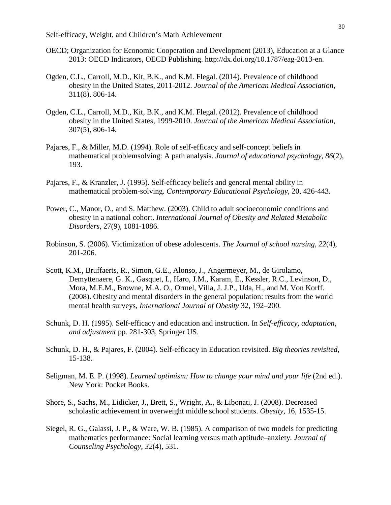- OECD; Organization for Economic Cooperation and Development (2013), Education at a Glance 2013: OECD Indicators, OECD Publishing. http://dx.doi.org/10.1787/eag-2013-en.
- Ogden, C.L., Carroll, M.D., Kit, B.K., and K.M. Flegal. (2014). Prevalence of childhood obesity in the United States, 2011-2012. *Journal of the American Medical Association,* 311(8), 806-14.
- Ogden, C.L., Carroll, M.D., Kit, B.K., and K.M. Flegal. (2012). Prevalence of childhood obesity in the United States, 1999-2010. *Journal of the American Medical Association,* 307(5), 806-14.
- Pajares, F., & Miller, M.D. (1994). Role of self-efficacy and self-concept beliefs in mathematical problemsolving: A path analysis. *Journal of educational psychology*, *86*(2), 193.
- Pajares, F., & Kranzler, J. (1995). Self-efficacy beliefs and general mental ability in mathematical problem-solving. *Contemporary Educational Psychology*, 20, 426-443.
- Power, C., Manor, O., and S. Matthew. (2003). Child to adult socioeconomic conditions and obesity in a national cohort. *International Journal of Obesity and Related Metabolic Disorders*, 27(9), 1081-1086.
- Robinson, S. (2006). Victimization of obese adolescents. *The Journal of school nursing*, *22*(4), 201-206.
- Scott, K.M., Bruffaerts, R., Simon, G.E., Alonso, J., Angermeyer, M., de Girolamo, Demyttenaere, G. K., Gasquet, I., Haro, J.M., Karam, E., Kessler, R.C., Levinson, D., Mora, M.E.M., Browne, M.A. O., Ormel, Villa, J. J.P., Uda, H., and M. Von Korff. (2008). Obesity and mental disorders in the general population: results from the world mental health surveys, *International Journal of Obesity* 32, 192–200.
- Schunk, D. H. (1995). Self-efficacy and education and instruction. In *Self-efficacy, adaptation, and adjustment* pp. 281-303, Springer US.
- Schunk, D. H., & Pajares, F. (2004). Self-efficacy in Education revisited. *Big theories revisited*, 15-138.
- Seligman, M. E. P. (1998). *Learned optimism: How to change your mind and your life* (2nd ed.). New York: Pocket Books.
- Shore, S., Sachs, M., Lidicker, J., Brett, S., Wright, A., & Libonati, J. (2008). Decreased scholastic achievement in overweight middle school students. *Obesity*, 16, 1535-15.
- Siegel, R. G., Galassi, J. P., & Ware, W. B. (1985). A comparison of two models for predicting mathematics performance: Social learning versus math aptitude–anxiety. *Journal of Counseling Psychology*, *32*(4), 531.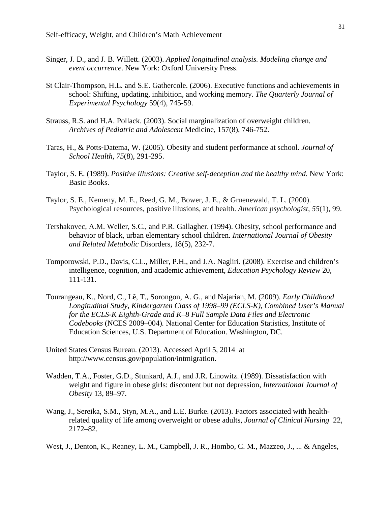- Singer, J. D., and J. B. Willett. (2003). *Applied longitudinal analysis. Modeling change and event occurrence*. New York: Oxford University Press.
- St Clair-Thompson, H.L. and S.E. Gathercole. (2006). Executive functions and achievements in school: Shifting, updating, inhibition, and working memory. *The Quarterly Journal of Experimental Psychology* 59(4), 745-59.
- Strauss, R.S. and H.A. Pollack. (2003). Social marginalization of overweight children. *Archives of Pediatric and Adolescent* Medicine, 157(8), 746-752.
- Taras, H., & Potts‐Datema, W. (2005). Obesity and student performance at school. *Journal of School Health, 75*(8), 291-295.
- Taylor, S. E. (1989). *Positive illusions: Creative self-deception and the healthy mind.* New York: Basic Books.
- Taylor, S. E., Kemeny, M. E., Reed, G. M., Bower, J. E., & Gruenewald, T. L. (2000). Psychological resources, positive illusions, and health. *American psychologist*, *55*(1), 99.
- Tershakovec, A.M. Weller, S.C., and P.R. Gallagher. (1994). Obesity, school performance and behavior of black, urban elementary school children. *International Journal of Obesity and Related Metabolic* Disorders, 18(5), 232-7.
- Tomporowski, P.D., Davis, C.L., Miller, P.H., and J.A. Nagliri. (2008). Exercise and children's intelligence, cognition, and academic achievement, *Education Psychology Review* 20, 111-131.
- Tourangeau, K., Nord, C., Lê, T., Sorongon, A. G., and Najarian, M. (2009). *Early Childhood Longitudinal Study, Kindergarten Class of 1998–99 (ECLS-K), Combined User's Manual for the ECLS-K Eighth-Grade and K–8 Full Sample Data Files and Electronic Codebooks* (NCES 2009–004)*.* National Center for Education Statistics, Institute of Education Sciences, U.S. Department of Education. Washington, DC.
- United States Census Bureau. (2013). Accessed April 5, 2014 at http://www.census.gov/population/intmigration.
- Wadden, T.A., Foster, G.D., Stunkard, A.J., and J.R. Linowitz. (1989). Dissatisfaction with weight and figure in obese girls: discontent but not depression, *International Journal of Obesity* 13, 89–97.
- Wang, J., Sereika, S.M., Styn, M.A., and L.E. Burke. (2013). Factors associated with healthrelated quality of life among overweight or obese adults, *Journal of Clinical Nursing* 22, 2172–82.
- West, J., Denton, K., Reaney, L. M., Campbell, J. R., Hombo, C. M., Mazzeo, J., ... & Angeles,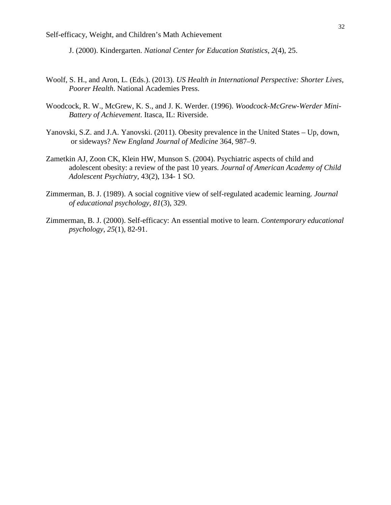J. (2000). Kindergarten. *National Center for Education Statistics*, *2*(4), 25.

- Woolf, S. H., and Aron, L. (Eds.). (2013). *US Health in International Perspective: Shorter Lives, Poorer Health*. National Academies Press.
- Woodcock, R. W., McGrew, K. S., and J. K. Werder. (1996). *Woodcock-McGrew-Werder Mini-Battery of Achievement*. Itasca, IL: Riverside.
- Yanovski, S.Z. and J.A. Yanovski. (2011). Obesity prevalence in the United States Up, down, or sideways? *New England Journal of Medicine* 364, 987–9.
- Zametkin AJ, Zoon CK, Klein HW, Munson S. (2004). Psychiatric aspects of child and adolescent obesity: a review of the past 10 years. *Journal of American Academy of Child Adolescent Psychiatry,* 43(2), 134- 1 SO.
- Zimmerman, B. J. (1989). A social cognitive view of self-regulated academic learning. *Journal of educational psychology*, *81*(3), 329.
- Zimmerman, B. J. (2000). Self-efficacy: An essential motive to learn. *Contemporary educational psychology*, *25*(1), 82-91.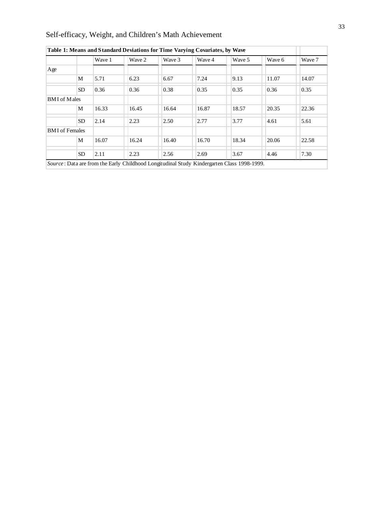| Self-efficacy, Weight, and Children's Math Achievement |  |  |  |  |
|--------------------------------------------------------|--|--|--|--|
|                                                        |  |  |  |  |

|                       |           | Wave 1 | Wave 2 | Wave 3 | Wave 4 | Wave 5 | Wave 6 | Wave 7 |
|-----------------------|-----------|--------|--------|--------|--------|--------|--------|--------|
| Age                   |           |        |        |        |        |        |        |        |
|                       | M         | 5.71   | 6.23   | 6.67   | 7.24   | 9.13   | 11.07  | 14.07  |
|                       | <b>SD</b> | 0.36   | 0.36   | 0.38   | 0.35   | 0.35   | 0.36   | 0.35   |
| <b>BMI</b> of Males   |           |        |        |        |        |        |        |        |
|                       | M         | 16.33  | 16.45  | 16.64  | 16.87  | 18.57  | 20.35  | 22.36  |
|                       | <b>SD</b> | 2.14   | 2.23   | 2.50   | 2.77   | 3.77   | 4.61   | 5.61   |
| <b>BMI</b> of Females |           |        |        |        |        |        |        |        |
|                       | M         | 16.07  | 16.24  | 16.40  | 16.70  | 18.34  | 20.06  | 22.58  |
|                       | <b>SD</b> | 2.11   | 2.23   | 2.56   | 2.69   | 3.67   | 4.46   | 7.30   |

**Table 1: Means and Standard Deviations for Time Varying Covariates, by Wave**

*Source* : Data are from the Early Childhood Longitudinal Study Kindergarten Class 1998-1999.

٦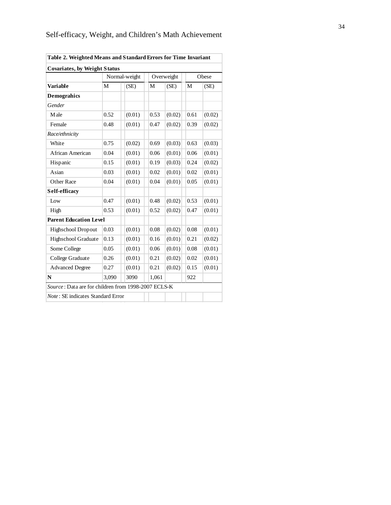| <b>Covariates, by Weight Status</b>                 |               |        |       |            |      |        |  |
|-----------------------------------------------------|---------------|--------|-------|------------|------|--------|--|
|                                                     | Normal-weight |        |       | Overweight |      | Obese  |  |
| <b>Variable</b>                                     | M             | (SE)   | M     | (SE)       | M    | (SE)   |  |
| <b>Demograhics</b>                                  |               |        |       |            |      |        |  |
| Gender                                              |               |        |       |            |      |        |  |
| Male                                                | 0.52          | (0.01) | 0.53  | (0.02)     | 0.61 | (0.02) |  |
| Female                                              | 0.48          | (0.01) | 0.47  | (0.02)     | 0.39 | (0.02) |  |
| Race/ethnicity                                      |               |        |       |            |      |        |  |
| White                                               | 0.75          | (0.02) | 0.69  | (0.03)     | 0.63 | (0.03) |  |
| African American                                    | 0.04          | (0.01) | 0.06  | (0.01)     | 0.06 | (0.01) |  |
| Hispanic                                            | 0.15          | (0.01) | 0.19  | (0.03)     | 0.24 | (0.02) |  |
| Asian                                               | 0.03          | (0.01) | 0.02  | (0.01)     | 0.02 | (0.01) |  |
| Other Race                                          | 0.04          | (0.01) | 0.04  | (0.01)     | 0.05 | (0.01) |  |
| Self-efficacy                                       |               |        |       |            |      |        |  |
| Low                                                 | 0.47          | (0.01) | 0.48  | (0.02)     | 0.53 | (0.01) |  |
| High                                                | 0.53          | (0.01) | 0.52  | (0.02)     | 0.47 | (0.01) |  |
| <b>Parent Education Level</b>                       |               |        |       |            |      |        |  |
| Highschool Dropout                                  | 0.03          | (0.01) | 0.08  | (0.02)     | 0.08 | (0.01) |  |
| Highschool Graduate                                 | 0.13          | (0.01) | 0.16  | (0.01)     | 0.21 | (0.02) |  |
| Some College                                        | 0.05          | (0.01) | 0.06  | (0.01)     | 0.08 | (0.01) |  |
| College Graduate                                    | 0.26          | (0.01) | 0.21  | (0.02)     | 0.02 | (0.01) |  |
| <b>Advanced Degree</b>                              | 0.27          | (0.01) | 0.21  | (0.02)     | 0.15 | (0.01) |  |
| N                                                   | 3,090         | 3090   | 1,061 |            | 922  |        |  |
| Source: Data are for children from 1998-2007 ECLS-K |               |        |       |            |      |        |  |
| <i>Note</i> : SE indicates Standard Error           |               |        |       |            |      |        |  |

**Table 2. Weighted Means and Standard Errors for Time Invariant**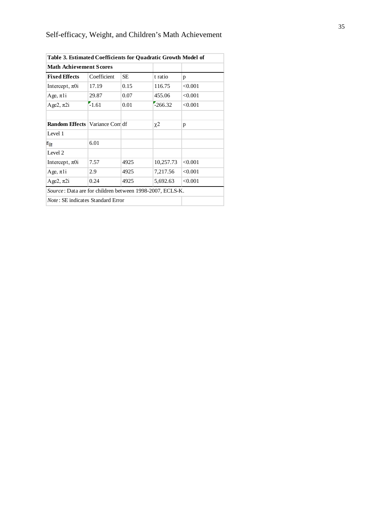| Table 3. Estimated Coefficients for Quadratic Growth Model of    |             |      |           |         |  |  |  |
|------------------------------------------------------------------|-------------|------|-----------|---------|--|--|--|
| <b>Math Achievement Scores</b>                                   |             |      |           |         |  |  |  |
| <b>Fixed Effects</b>                                             | Coefficient | SE   | t ratio   | p       |  |  |  |
| Intercept, $\pi$ 0i                                              | 17.19       | 0.15 | 116.75    | < 0.001 |  |  |  |
| Age, $\pi$ 1                                                     | 29.87       | 0.07 | 455.06    | < 0.001 |  |  |  |
| Age2, $\pi$ 2i                                                   | $-1.61$     | 0.01 | $-266.32$ | < 0.001 |  |  |  |
|                                                                  |             |      |           |         |  |  |  |
| <b>Random Effects   Variance Com df</b>                          |             |      | $\chi$ 2  | p       |  |  |  |
| Level 1                                                          |             |      |           |         |  |  |  |
| $\varepsilon_{it}$                                               | 6.01        |      |           |         |  |  |  |
| Level 2                                                          |             |      |           |         |  |  |  |
| Intercept, $\pi$ 0i                                              | 7.57        | 4925 | 10,257.73 | < 0.001 |  |  |  |
| Age, $\pi$ 1 <sup>i</sup>                                        | 2.9         | 4925 | 7,217.56  | < 0.001 |  |  |  |
| Age2, $\pi$ 2i                                                   | 0.24        | 4925 | 5,692.63  | < 0.001 |  |  |  |
| <i>Source</i> : Data are for children between 1998-2007, ECLS-K. |             |      |           |         |  |  |  |
| <i>Note</i> : SE indicates Standard Error                        |             |      |           |         |  |  |  |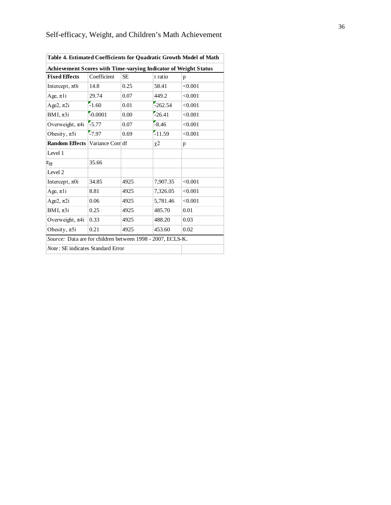| Table 4. Estimated Coefficients for Quadratic Growth Model of Math |                 |      |                     |         |  |  |  |
|--------------------------------------------------------------------|-----------------|------|---------------------|---------|--|--|--|
| Achievement Scores with Time-varying Indicator of Weight Status    |                 |      |                     |         |  |  |  |
| <b>Fixed Effects</b>                                               | Coefficient     | SE   | t ratio             | p       |  |  |  |
| Intercept, $\pi$ 0i                                                | 14.8            | 0.25 | 58.41               | < 0.001 |  |  |  |
| Age, $\pi$ 1i                                                      | 29.74           | 0.07 | 449.2               | < 0.001 |  |  |  |
| Age2, $\pi$ 2i                                                     | $-1.60$         | 0.01 | $-262.54$           | < 0.001 |  |  |  |
| BMI, $\pi 3i$                                                      | $-0.0001$       | 0.00 | $-26.41$            | < 0.001 |  |  |  |
| Overweight, $\pi$ 4i                                               | $-5.77$         | 0.07 | $-8.46$             | < 0.001 |  |  |  |
| Obesity, $\pi 5i$                                                  | $-7.97$         | 0.69 | $-11.59$            | < 0.001 |  |  |  |
| <b>Random Effects</b>                                              | Variance Com df |      | $\chi$ <sup>2</sup> | p       |  |  |  |
| Level 1                                                            |                 |      |                     |         |  |  |  |
| $\varepsilon_{\rm ir}$                                             | 35.66           |      |                     |         |  |  |  |
| Level 2                                                            |                 |      |                     |         |  |  |  |
| Intercept, $\pi$ 0i                                                | 34.85           | 4925 | 7,907.35            | < 0.001 |  |  |  |
| Age, $\pi$ 1i                                                      | 8.81            | 4925 | 7,326.05            | < 0.001 |  |  |  |
| Age2, $\pi$ 2i                                                     | 0.06            | 4925 | 5,781.46            | < 0.001 |  |  |  |
| BMI, $\pi 3i$                                                      | 0.25            | 4925 | 485.70              | 0.01    |  |  |  |
| Overweight, $\pi$ 4i                                               | 0.33            | 4925 | 488.20              | 0.03    |  |  |  |
| Obesity, $\pi 5i$                                                  | 0.21            | 4925 | 453.60              | 0.02    |  |  |  |
| Source: Data are for children between 1998 - 2007, ECLS-K.         |                 |      |                     |         |  |  |  |
| <i>Note</i> : SE indicates Standard Error                          |                 |      |                     |         |  |  |  |
|                                                                    |                 |      |                     |         |  |  |  |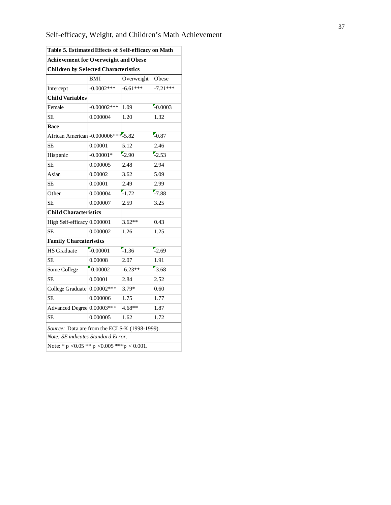| Self-efficacy, Weight, and Children's Math Achievement |  |  |  |  |
|--------------------------------------------------------|--|--|--|--|
|                                                        |  |  |  |  |

| Table 5. Estimated Effects of Self-efficacy on Math                                 |                                             |            |            |  |  |  |  |
|-------------------------------------------------------------------------------------|---------------------------------------------|------------|------------|--|--|--|--|
|                                                                                     | <b>Achievement for Overweight and Obese</b> |            |            |  |  |  |  |
| <b>Children by Selected Characteristics</b>                                         |                                             |            |            |  |  |  |  |
|                                                                                     | <b>BMI</b>                                  | Overweight | Obese      |  |  |  |  |
| Intercept                                                                           | $-0.0002$ ***                               | $-6.61***$ | $-7.21***$ |  |  |  |  |
| <b>Child Variables</b>                                                              |                                             |            |            |  |  |  |  |
| Female                                                                              | $-0.00002$ ***                              | 1.09       | $-0.0003$  |  |  |  |  |
| SE.                                                                                 | 0.000004                                    | 1.20       | 1.32       |  |  |  |  |
| Race                                                                                |                                             |            |            |  |  |  |  |
| African American -0.000006*** -5.82                                                 |                                             |            | $-0.87$    |  |  |  |  |
| <b>SE</b>                                                                           | 0.00001                                     | 5.12       | 2.46       |  |  |  |  |
| Hispanic                                                                            | $-0.00001*$                                 | $-2.90$    | $-2.53$    |  |  |  |  |
| SE.                                                                                 | 0.000005                                    | 2.48       | 2.94       |  |  |  |  |
| Asian                                                                               | 0.00002                                     | 3.62       | 5.09       |  |  |  |  |
| <b>SE</b>                                                                           | 0.00001                                     | 2.49       | 2.99       |  |  |  |  |
| Other                                                                               | 0.000004                                    | $-1.72$    | $-7.88$    |  |  |  |  |
| SE.                                                                                 | 0.000007                                    | 2.59       | 3.25       |  |  |  |  |
| <b>Child Characteristics</b>                                                        |                                             |            |            |  |  |  |  |
| High Self-efficacy 0.000001                                                         |                                             | $3.62**$   | 0.43       |  |  |  |  |
| <b>SE</b>                                                                           | 0.000002                                    | 1.26       | 1.25       |  |  |  |  |
| <b>Family Charcateristics</b>                                                       |                                             |            |            |  |  |  |  |
| <b>HS</b> Graduate                                                                  | $-0.00001$                                  | $-1.36$    | $-2.69$    |  |  |  |  |
| <b>SE</b>                                                                           | 0.00008                                     | 2.07       | 1.91       |  |  |  |  |
| Some College                                                                        | $-0.00002$                                  | $-6.23**$  | $-3.68$    |  |  |  |  |
| <b>SE</b>                                                                           | 0.00001                                     | 2.84       | 2.52       |  |  |  |  |
| College Graduate 0.00002***                                                         |                                             | $3.79*$    | 0.60       |  |  |  |  |
| <b>SE</b>                                                                           | 0.000006                                    | 1.75       | 1.77       |  |  |  |  |
| Advanced Degree 0.00003 ***                                                         |                                             | $4.68**$   | 1.87       |  |  |  |  |
| SE.                                                                                 | 0.000005                                    | 1.62       | 1.72       |  |  |  |  |
| Source: Data are from the ECLS-K (1998-1999).<br>Note: SE indicates Standard Error. |                                             |            |            |  |  |  |  |
| Note: * p < 0.05 ** p < 0.005 *** p < 0.001.                                        |                                             |            |            |  |  |  |  |